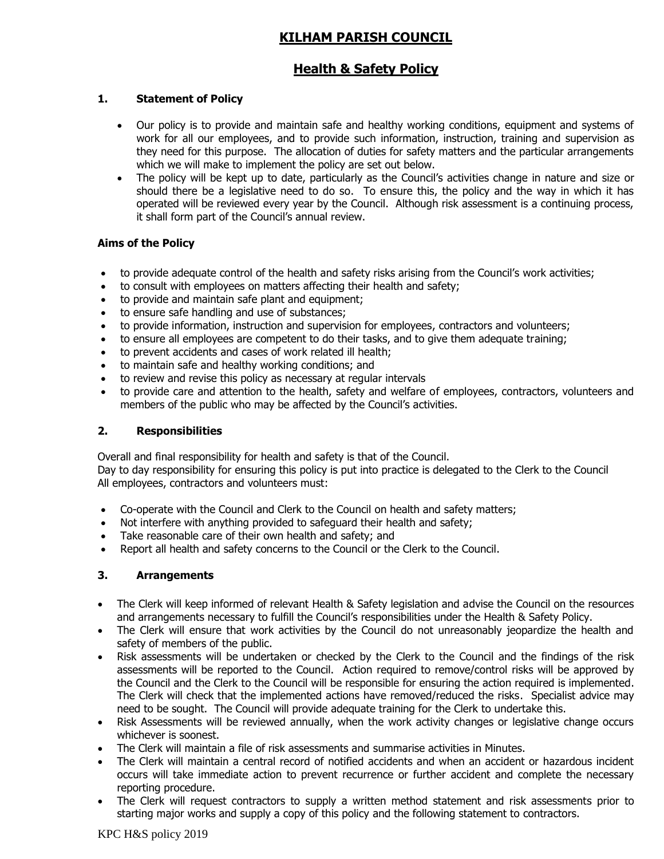# **KILHAM PARISH COUNCIL**

## **Health & Safety Policy**

## **1. Statement of Policy**

- Our policy is to provide and maintain safe and healthy working conditions, equipment and systems of work for all our employees, and to provide such information, instruction, training and supervision as they need for this purpose. The allocation of duties for safety matters and the particular arrangements which we will make to implement the policy are set out below.
- The policy will be kept up to date, particularly as the Council's activities change in nature and size or should there be a legislative need to do so. To ensure this, the policy and the way in which it has operated will be reviewed every year by the Council. Although risk assessment is a continuing process, it shall form part of the Council's annual review.

#### **Aims of the Policy**

- to provide adequate control of the health and safety risks arising from the Council's work activities;
- to consult with employees on matters affecting their health and safety;
- to provide and maintain safe plant and equipment;
- to ensure safe handling and use of substances;
- to provide information, instruction and supervision for employees, contractors and volunteers;
- to ensure all employees are competent to do their tasks, and to give them adequate training;
- to prevent accidents and cases of work related ill health;
- to maintain safe and healthy working conditions; and
- to review and revise this policy as necessary at regular intervals
- to provide care and attention to the health, safety and welfare of employees, contractors, volunteers and members of the public who may be affected by the Council's activities.

#### **2. Responsibilities**

Overall and final responsibility for health and safety is that of the Council.

Day to day responsibility for ensuring this policy is put into practice is delegated to the Clerk to the Council All employees, contractors and volunteers must:

- Co-operate with the Council and Clerk to the Council on health and safety matters;
- Not interfere with anything provided to safeguard their health and safety;
- Take reasonable care of their own health and safety; and
- Report all health and safety concerns to the Council or the Clerk to the Council.

#### **3. Arrangements**

- The Clerk will keep informed of relevant Health & Safety legislation and advise the Council on the resources and arrangements necessary to fulfill the Council's responsibilities under the Health & Safety Policy.
- The Clerk will ensure that work activities by the Council do not unreasonably jeopardize the health and safety of members of the public.
- Risk assessments will be undertaken or checked by the Clerk to the Council and the findings of the risk assessments will be reported to the Council. Action required to remove/control risks will be approved by the Council and the Clerk to the Council will be responsible for ensuring the action required is implemented. The Clerk will check that the implemented actions have removed/reduced the risks. Specialist advice may need to be sought. The Council will provide adequate training for the Clerk to undertake this.
- Risk Assessments will be reviewed annually, when the work activity changes or legislative change occurs whichever is soonest.
- The Clerk will maintain a file of risk assessments and summarise activities in Minutes.
- The Clerk will maintain a central record of notified accidents and when an accident or hazardous incident occurs will take immediate action to prevent recurrence or further accident and complete the necessary reporting procedure.
- The Clerk will request contractors to supply a written method statement and risk assessments prior to starting major works and supply a copy of this policy and the following statement to contractors.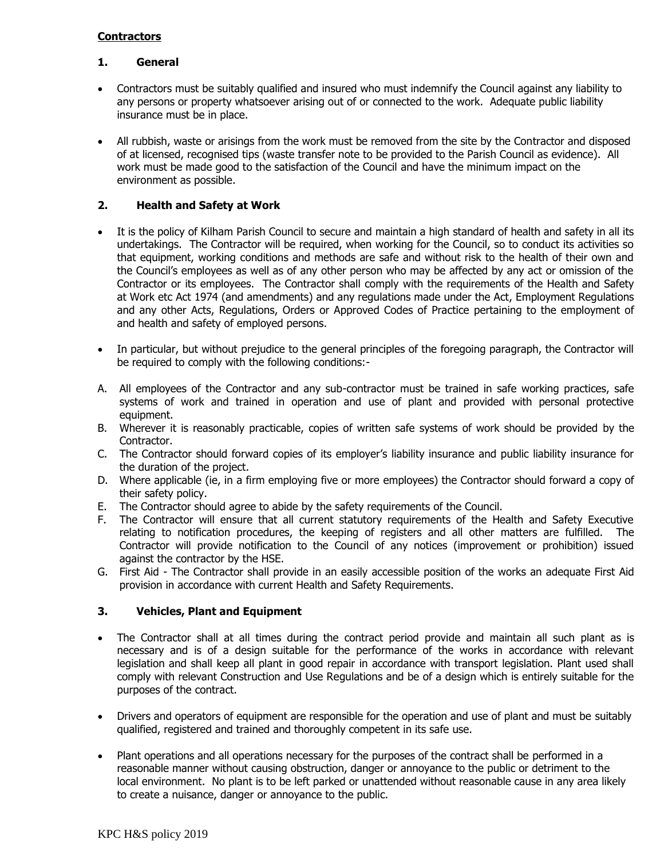## **Contractors**

#### **1. General**

- Contractors must be suitably qualified and insured who must indemnify the Council against any liability to any persons or property whatsoever arising out of or connected to the work. Adequate public liability insurance must be in place.
- All rubbish, waste or arisings from the work must be removed from the site by the Contractor and disposed of at licensed, recognised tips (waste transfer note to be provided to the Parish Council as evidence). All work must be made good to the satisfaction of the Council and have the minimum impact on the environment as possible.

## **2. Health and Safety at Work**

- It is the policy of Kilham Parish Council to secure and maintain a high standard of health and safety in all its undertakings. The Contractor will be required, when working for the Council, so to conduct its activities so that equipment, working conditions and methods are safe and without risk to the health of their own and the Council's employees as well as of any other person who may be affected by any act or omission of the Contractor or its employees. The Contractor shall comply with the requirements of the Health and Safety at Work etc Act 1974 (and amendments) and any regulations made under the Act, Employment Regulations and any other Acts, Regulations, Orders or Approved Codes of Practice pertaining to the employment of and health and safety of employed persons.
- In particular, but without prejudice to the general principles of the foregoing paragraph, the Contractor will be required to comply with the following conditions:-
- A. All employees of the Contractor and any sub-contractor must be trained in safe working practices, safe systems of work and trained in operation and use of plant and provided with personal protective equipment.
- B. Wherever it is reasonably practicable, copies of written safe systems of work should be provided by the Contractor.
- C. The Contractor should forward copies of its employer's liability insurance and public liability insurance for the duration of the project.
- D. Where applicable (ie, in a firm employing five or more employees) the Contractor should forward a copy of their safety policy.
- E. The Contractor should agree to abide by the safety requirements of the Council.
- F. The Contractor will ensure that all current statutory requirements of the Health and Safety Executive relating to notification procedures, the keeping of registers and all other matters are fulfilled. The Contractor will provide notification to the Council of any notices (improvement or prohibition) issued against the contractor by the HSE.
- G. First Aid The Contractor shall provide in an easily accessible position of the works an adequate First Aid provision in accordance with current Health and Safety Requirements.

#### **3. Vehicles, Plant and Equipment**

- The Contractor shall at all times during the contract period provide and maintain all such plant as is necessary and is of a design suitable for the performance of the works in accordance with relevant legislation and shall keep all plant in good repair in accordance with transport legislation. Plant used shall comply with relevant Construction and Use Regulations and be of a design which is entirely suitable for the purposes of the contract.
- Drivers and operators of equipment are responsible for the operation and use of plant and must be suitably qualified, registered and trained and thoroughly competent in its safe use.
- Plant operations and all operations necessary for the purposes of the contract shall be performed in a reasonable manner without causing obstruction, danger or annoyance to the public or detriment to the local environment. No plant is to be left parked or unattended without reasonable cause in any area likely to create a nuisance, danger or annoyance to the public.